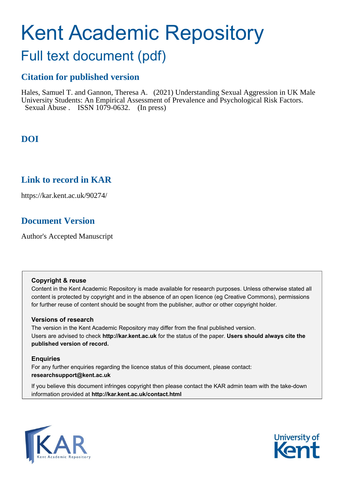# Kent Academic Repository

## Full text document (pdf)

## **Citation for published version**

Hales, Samuel T. and Gannon, Theresa A. (2021) Understanding Sexual Aggression in UK Male University Students: An Empirical Assessment of Prevalence and Psychological Risk Factors. Sexual Abuse . ISSN 1079-0632. (In press)

## **DOI**

## **Link to record in KAR**

https://kar.kent.ac.uk/90274/

## **Document Version**

Author's Accepted Manuscript

#### **Copyright & reuse**

Content in the Kent Academic Repository is made available for research purposes. Unless otherwise stated all content is protected by copyright and in the absence of an open licence (eg Creative Commons), permissions for further reuse of content should be sought from the publisher, author or other copyright holder.

#### **Versions of research**

The version in the Kent Academic Repository may differ from the final published version. Users are advised to check **http://kar.kent.ac.uk** for the status of the paper. **Users should always cite the published version of record.**

#### **Enquiries**

For any further enquiries regarding the licence status of this document, please contact: **researchsupport@kent.ac.uk**

If you believe this document infringes copyright then please contact the KAR admin team with the take-down information provided at **http://kar.kent.ac.uk/contact.html**



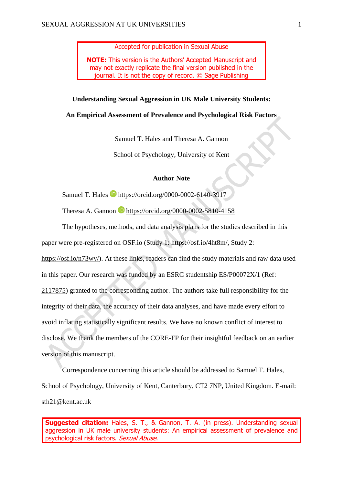Accepted for publication in Sexual Abuse

**NOTE:** This version is the Authors' Accepted Manuscript and may not exactly replicate the final version published in the journal. It is not the copy of record. © Sage Publishing

#### **Understanding Sexual Aggression in UK Male University Students:**

#### **An Empirical Assessment of Prevalence and Psychological Risk Factors**

Samuel T. Hales and Theresa A. Gannon

School of Psychology, University of Kent

#### **Author Note**

Samuel T. Hales **b** <https://orcid.org/0000-0002-6140-3917>

Theresa A. Gannon **h**ttps://orcid.org/0000-0002-5810-4158

The hypotheses, methods, and data analysis plans for the studies described in this paper were pre-registered on [OSF.io](https://osf.io/) (Study 1: [https://osf.io/4ht8m/,](https://osf.io/4ht8m/) Study 2: [https://osf.io/n73wy/\)](https://osf.io/n73wy/). At these links, readers can find the study materials and raw data used in this paper. Our research was funded by an ESRC studentship ES/P00072X/1 (Ref: [2117875\)](https://gtr.ukri.org/projects?ref=studentship-2117875) granted to the corresponding author. The authors take full responsibility for the integrity of their data, the accuracy of their data analyses, and have made every effort to avoid inflating statistically significant results. We have no known conflict of interest to disclose. We thank the members of the CORE-FP for their insightful feedback on an earlier version of this manuscript.

Correspondence concerning this article should be addressed to Samuel T. Hales, School of Psychology, University of Kent, Canterbury, CT2 7NP, United Kingdom. E-mail: [sth21@kent.ac.uk](mailto:sth21@kent.ac.uk)

**Suggested citation:** Hales, S. T., & Gannon, T. A. (in press). Understanding sexual aggression in UK male university students: An empirical assessment of prevalence and psychological risk factors. Sexual Abuse.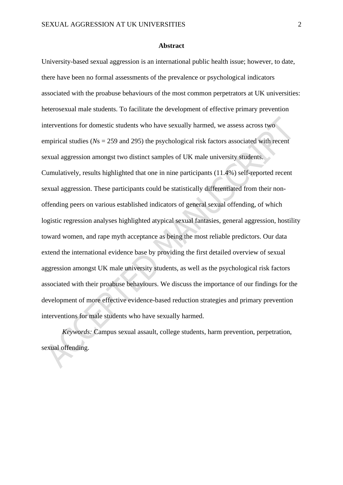#### **Abstract**

University-based sexual aggression is an international public health issue; however, to date, there have been no formal assessments of the prevalence or psychological indicators associated with the proabuse behaviours of the most common perpetrators at UK universities: heterosexual male students. To facilitate the development of effective primary prevention interventions for domestic students who have sexually harmed, we assess across two empirical studies (*N*s = 259 and 295) the psychological risk factors associated with recent sexual aggression amongst two distinct samples of UK male university students. Cumulatively, results highlighted that one in nine participants (11.4%) self-reported recent sexual aggression. These participants could be statistically differentiated from their nonoffending peers on various established indicators of general sexual offending, of which logistic regression analyses highlighted atypical sexual fantasies, general aggression, hostility toward women, and rape myth acceptance as being the most reliable predictors. Our data extend the international evidence base by providing the first detailed overview of sexual aggression amongst UK male university students, as well as the psychological risk factors associated with their proabuse behaviours. We discuss the importance of our findings for the development of more effective evidence-based reduction strategies and primary prevention interventions for male students who have sexually harmed.

*Keywords:* Campus sexual assault, college students, harm prevention, perpetration, sexual offending.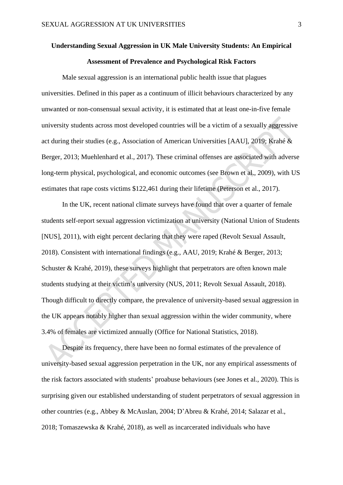## **Understanding Sexual Aggression in UK Male University Students: An Empirical Assessment of Prevalence and Psychological Risk Factors**

Male sexual aggression is an international public health issue that plagues universities. Defined in this paper as a continuum of illicit behaviours characterized by any unwanted or non-consensual sexual activity, it is estimated that at least one-in-five female university students across most developed countries will be a victim of a sexually aggressive act during their studies (e.g., Association of American Universities [AAU], 2019; Krahé & Berger, 2013; Muehlenhard et al., 2017). These criminal offenses are associated with adverse long-term physical, psychological, and economic outcomes (see Brown et al., 2009), with US estimates that rape costs victims \$122,461 during their lifetime (Peterson et al., 2017).

In the UK, recent national climate surveys have found that over a quarter of female students self-report sexual aggression victimization at university (National Union of Students [NUS], 2011), with eight percent declaring that they were raped (Revolt Sexual Assault, 2018). Consistent with international findings (e.g., AAU, 2019; Krahé & Berger, 2013; Schuster & Krahé, 2019), these surveys highlight that perpetrators are often known male students studying at their victim's university (NUS, 2011; Revolt Sexual Assault, 2018). Though difficult to directly compare, the prevalence of university-based sexual aggression in the UK appears notably higher than sexual aggression within the wider community, where 3.4% of females are victimized annually (Office for National Statistics, 2018).

Despite its frequency, there have been no formal estimates of the prevalence of university-based sexual aggression perpetration in the UK, nor any empirical assessments of the risk factors associated with students' proabuse behaviours (see Jones et al., 2020). This is surprising given our established understanding of student perpetrators of sexual aggression in other countries (e.g., Abbey & McAuslan, 2004; D'Abreu & Krahé, 2014; Salazar et al., 2018; Tomaszewska & Krahé, 2018), as well as incarcerated individuals who have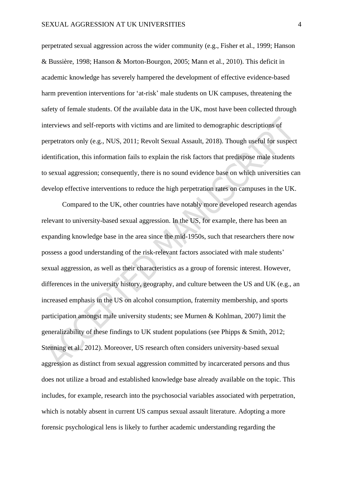perpetrated sexual aggression across the wider community (e.g., Fisher et al., 1999; Hanson & Bussière, 1998; Hanson & Morton-Bourgon, 2005; Mann et al., 2010). This deficit in academic knowledge has severely hampered the development of effective evidence-based harm prevention interventions for 'at-risk' male students on UK campuses, threatening the safety of female students. Of the available data in the UK, most have been collected through interviews and self-reports with victims and are limited to demographic descriptions of perpetrators only (e.g., NUS, 2011; Revolt Sexual Assault, 2018). Though useful for suspect identification, this information fails to explain the risk factors that predispose male students to sexual aggression; consequently, there is no sound evidence base on which universities can develop effective interventions to reduce the high perpetration rates on campuses in the UK.

Compared to the UK, other countries have notably more developed research agendas relevant to university-based sexual aggression. In the US, for example, there has been an expanding knowledge base in the area since the mid-1950s, such that researchers there now possess a good understanding of the risk-relevant factors associated with male students' sexual aggression, as well as their characteristics as a group of forensic interest. However, differences in the university history, geography, and culture between the US and UK (e.g., an increased emphasis in the US on alcohol consumption, fraternity membership, and sports participation amongst male university students; see Murnen & Kohlman, 2007) limit the generalizability of these findings to UK student populations (see Phipps & Smith, 2012; Stenning et al., 2012). Moreover, US research often considers university-based sexual aggression as distinct from sexual aggression committed by incarcerated persons and thus does not utilize a broad and established knowledge base already available on the topic. This includes, for example, research into the psychosocial variables associated with perpetration, which is notably absent in current US campus sexual assault literature. Adopting a more forensic psychological lens is likely to further academic understanding regarding the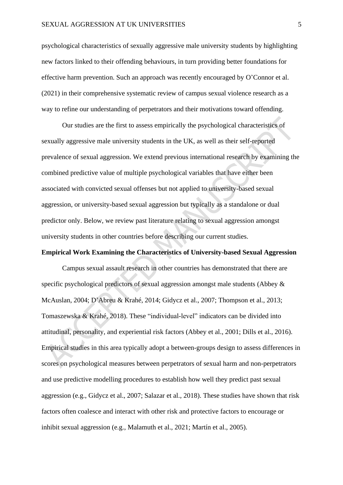psychological characteristics of sexually aggressive male university students by highlighting new factors linked to their offending behaviours, in turn providing better foundations for effective harm prevention. Such an approach was recently encouraged by O'Connor et al. (2021) in their comprehensive systematic review of campus sexual violence research as a way to refine our understanding of perpetrators and their motivations toward offending.

Our studies are the first to assess empirically the psychological characteristics of sexually aggressive male university students in the UK, as well as their self-reported prevalence of sexual aggression. We extend previous international research by examining the combined predictive value of multiple psychological variables that have either been associated with convicted sexual offenses but not applied to university-based sexual aggression, or university-based sexual aggression but typically as a standalone or dual predictor only. Below, we review past literature relating to sexual aggression amongst university students in other countries before describing our current studies.

#### **Empirical Work Examining the Characteristics of University-based Sexual Aggression**

Campus sexual assault research in other countries has demonstrated that there are specific psychological predictors of sexual aggression amongst male students (Abbey & McAuslan, 2004; D'Abreu & Krahé, 2014; Gidycz et al., 2007; Thompson et al., 2013; Tomaszewska & Krahé, 2018). These "individual-level" indicators can be divided into attitudinal, personality, and experiential risk factors (Abbey et al., 2001; Dills et al., 2016). Empirical studies in this area typically adopt a between-groups design to assess differences in scores on psychological measures between perpetrators of sexual harm and non-perpetrators and use predictive modelling procedures to establish how well they predict past sexual aggression (e.g., Gidycz et al., 2007; Salazar et al., 2018). These studies have shown that risk factors often coalesce and interact with other risk and protective factors to encourage or inhibit sexual aggression (e.g., Malamuth et al., 2021; Martín et al., 2005).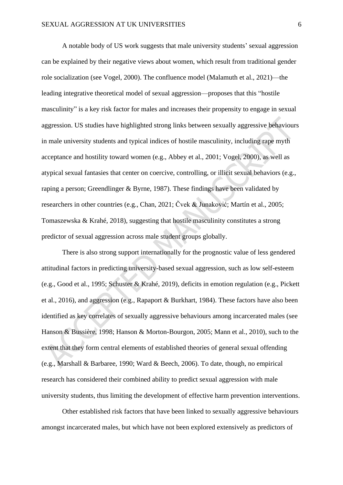A notable body of US work suggests that male university students' sexual aggression can be explained by their negative views about women, which result from traditional gender role socialization (see Vogel, 2000). The confluence model (Malamuth et al., 2021)—the leading integrative theoretical model of sexual aggression—proposes that this "hostile masculinity" is a key risk factor for males and increases their propensity to engage in sexual aggression. US studies have highlighted strong links between sexually aggressive behaviours in male university students and typical indices of hostile masculinity, including rape myth acceptance and hostility toward women (e.g., Abbey et al., 2001; Vogel, 2000), as well as atypical sexual fantasies that center on coercive, controlling, or illicit sexual behaviors (e.g., raping a person; Greendlinger & Byrne, 1987). These findings have been validated by researchers in other countries (e.g., Chan, 2021; Čvek & Junaković; Martín et al., 2005; Tomaszewska & Krahé, 2018), suggesting that hostile masculinity constitutes a strong predictor of sexual aggression across male student groups globally.

There is also strong support internationally for the prognostic value of less gendered attitudinal factors in predicting university-based sexual aggression, such as low self-esteem (e.g., Good et al., 1995; Schuster & Krahé, 2019), deficits in emotion regulation (e.g., Pickett et al., 2016), and aggression (e.g., Rapaport & Burkhart, 1984). These factors have also been identified as key correlates of sexually aggressive behaviours among incarcerated males (see Hanson & Bussière, 1998; Hanson & Morton-Bourgon, 2005; Mann et al., 2010), such to the extent that they form central elements of established theories of general sexual offending (e.g., Marshall & Barbaree, 1990; Ward & Beech, 2006). To date, though, no empirical research has considered their combined ability to predict sexual aggression with male university students, thus limiting the development of effective harm prevention interventions.

Other established risk factors that have been linked to sexually aggressive behaviours amongst incarcerated males, but which have not been explored extensively as predictors of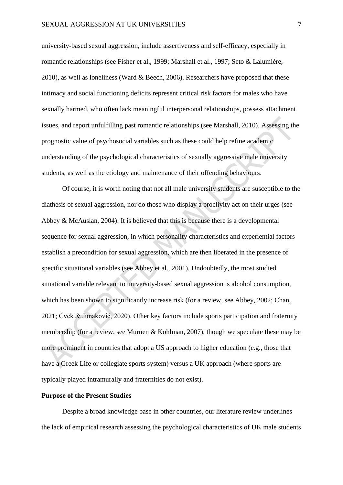university-based sexual aggression, include assertiveness and self-efficacy, especially in romantic relationships (see Fisher et al., 1999; Marshall et al., 1997; Seto & Lalumière, 2010), as well as loneliness (Ward & Beech, 2006). Researchers have proposed that these intimacy and social functioning deficits represent critical risk factors for males who have sexually harmed, who often lack meaningful interpersonal relationships, possess attachment issues, and report unfulfilling past romantic relationships (see Marshall, 2010). Assessing the prognostic value of psychosocial variables such as these could help refine academic understanding of the psychological characteristics of sexually aggressive male university students, as well as the etiology and maintenance of their offending behaviours.

Of course, it is worth noting that not all male university students are susceptible to the diathesis of sexual aggression, nor do those who display a proclivity act on their urges (see Abbey & McAuslan, 2004). It is believed that this is because there is a developmental sequence for sexual aggression, in which personality characteristics and experiential factors establish a precondition for sexual aggression, which are then liberated in the presence of specific situational variables (see Abbey et al., 2001). Undoubtedly, the most studied situational variable relevant to university-based sexual aggression is alcohol consumption, which has been shown to significantly increase risk (for a review, see Abbey, 2002; Chan, 2021; Čvek & Junaković, 2020). Other key factors include sports participation and fraternity membership (for a review, see Murnen & Kohlman, 2007), though we speculate these may be more prominent in countries that adopt a US approach to higher education (e.g., those that have a Greek Life or collegiate sports system) versus a UK approach (where sports are typically played intramurally and fraternities do not exist).

#### **Purpose of the Present Studies**

Despite a broad knowledge base in other countries, our literature review underlines the lack of empirical research assessing the psychological characteristics of UK male students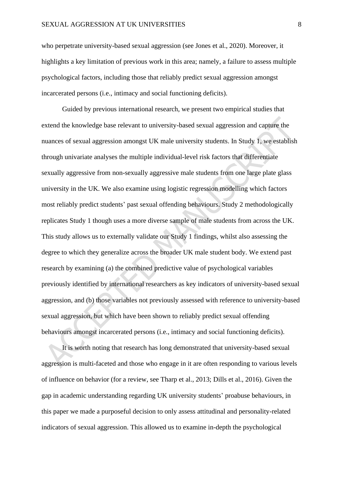who perpetrate university-based sexual aggression (see Jones et al., 2020). Moreover, it highlights a key limitation of previous work in this area; namely, a failure to assess multiple psychological factors, including those that reliably predict sexual aggression amongst incarcerated persons (i.e., intimacy and social functioning deficits).

Guided by previous international research, we present two empirical studies that extend the knowledge base relevant to university-based sexual aggression and capture the nuances of sexual aggression amongst UK male university students. In Study 1, we establish through univariate analyses the multiple individual-level risk factors that differentiate sexually aggressive from non-sexually aggressive male students from one large plate glass university in the UK. We also examine using logistic regression modelling which factors most reliably predict students' past sexual offending behaviours. Study 2 methodologically replicates Study 1 though uses a more diverse sample of male students from across the UK. This study allows us to externally validate our Study 1 findings, whilst also assessing the degree to which they generalize across the broader UK male student body. We extend past research by examining (a) the combined predictive value of psychological variables previously identified by international researchers as key indicators of university-based sexual aggression, and (b) those variables not previously assessed with reference to university-based sexual aggression, but which have been shown to reliably predict sexual offending behaviours amongst incarcerated persons (i.e., intimacy and social functioning deficits).

It is worth noting that research has long demonstrated that university-based sexual aggression is multi-faceted and those who engage in it are often responding to various levels of influence on behavior (for a review, see Tharp et al., 2013; Dills et al., 2016). Given the gap in academic understanding regarding UK university students' proabuse behaviours, in this paper we made a purposeful decision to only assess attitudinal and personality-related indicators of sexual aggression. This allowed us to examine in-depth the psychological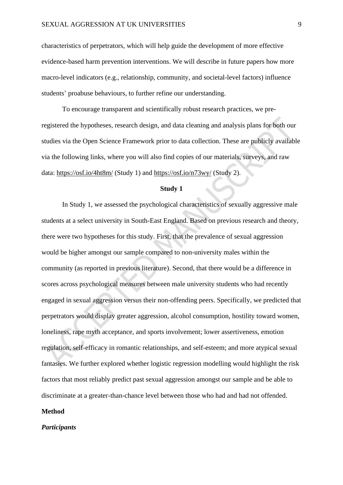characteristics of perpetrators, which will help guide the development of more effective evidence-based harm prevention interventions. We will describe in future papers how more macro-level indicators (e.g., relationship, community, and societal-level factors) influence students' proabuse behaviours, to further refine our understanding.

To encourage transparent and scientifically robust research practices, we preregistered the hypotheses, research design, and data cleaning and analysis plans for both our studies via the Open Science Framework prior to data collection. These are publicly available via the following links, where you will also find copies of our materials, surveys, and raw data:<https://osf.io/4ht8m/> (Study 1) and<https://osf.io/n73wy/> (Study 2).

#### **Study 1**

In Study 1, we assessed the psychological characteristics of sexually aggressive male students at a select university in South-East England. Based on previous research and theory, there were two hypotheses for this study. First, that the prevalence of sexual aggression would be higher amongst our sample compared to non-university males within the community (as reported in previous literature). Second, that there would be a difference in scores across psychological measures between male university students who had recently engaged in sexual aggression versus their non-offending peers. Specifically, we predicted that perpetrators would display greater aggression, alcohol consumption, hostility toward women, loneliness, rape myth acceptance, and sports involvement; lower assertiveness, emotion regulation, self-efficacy in romantic relationships, and self-esteem; and more atypical sexual fantasies. We further explored whether logistic regression modelling would highlight the risk factors that most reliably predict past sexual aggression amongst our sample and be able to discriminate at a greater-than-chance level between those who had and had not offended.

#### **Method**

#### *Participants*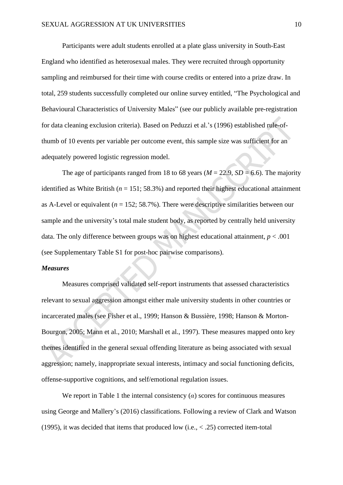Participants were adult students enrolled at a plate glass university in South-East England who identified as heterosexual males. They were recruited through opportunity sampling and reimbursed for their time with course credits or entered into a prize draw. In total, 259 students successfully completed our online survey entitled, "The Psychological and Behavioural Characteristics of University Males" (see our publicly available pre-registration for data cleaning exclusion criteria). Based on Peduzzi et al.'s (1996) established rule-ofthumb of 10 events per variable per outcome event, this sample size was sufficient for an adequately powered logistic regression model.

The age of participants ranged from 18 to 68 years ( $M = 22.9$ ,  $SD = 6.6$ ). The majority identified as White British ( $n = 151$ ; 58.3%) and reported their highest educational attainment as A-Level or equivalent ( $n = 152$ ; 58.7%). There were descriptive similarities between our sample and the university's total male student body, as reported by centrally held university data. The only difference between groups was on highest educational attainment,  $p < .001$ (see Supplementary Table S1 for post-hoc pairwise comparisons).

#### *Measures*

Measures comprised validated self-report instruments that assessed characteristics relevant to sexual aggression amongst either male university students in other countries or incarcerated males (see Fisher et al., 1999; Hanson & Bussière, 1998; Hanson & Morton-Bourgon, 2005; Mann et al., 2010; Marshall et al., 1997). These measures mapped onto key themes identified in the general sexual offending literature as being associated with sexual aggression; namely, inappropriate sexual interests, intimacy and social functioning deficits, offense-supportive cognitions, and self/emotional regulation issues.

We report in Table 1 the internal consistency  $(a)$  scores for continuous measures using George and Mallery's (2016) classifications. Following a review of Clark and Watson (1995), it was decided that items that produced low (i.e., < .25) corrected item-total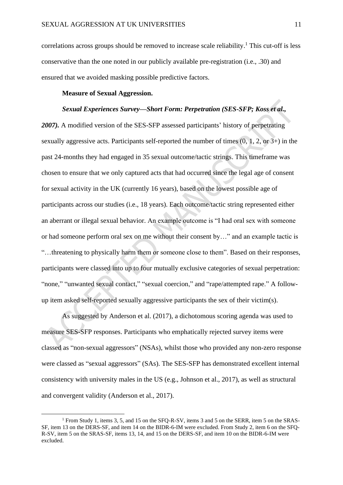correlations across groups should be removed to increase scale reliability.<sup>1</sup> This cut-off is less conservative than the one noted in our publicly available pre-registration (i.e., .30) and ensured that we avoided masking possible predictive factors.

#### **Measure of Sexual Aggression.**

#### *Sexual Experiences Survey—Short Form: Perpetration (SES-SFP; Koss et al.,*

*2007).* A modified version of the SES-SFP assessed participants' history of perpetrating sexually aggressive acts. Participants self-reported the number of times (0, 1, 2, or 3+) in the past 24-months they had engaged in 35 sexual outcome/tactic strings. This timeframe was chosen to ensure that we only captured acts that had occurred since the legal age of consent for sexual activity in the UK (currently 16 years), based on the lowest possible age of participants across our studies (i.e., 18 years). Each outcome/tactic string represented either an aberrant or illegal sexual behavior. An example outcome is "I had oral sex with someone or had someone perform oral sex on me without their consent by…" and an example tactic is "…threatening to physically harm them or someone close to them". Based on their responses, participants were classed into up to four mutually exclusive categories of sexual perpetration: "none," "unwanted sexual contact," "sexual coercion," and "rape/attempted rape." A followup item asked self-reported sexually aggressive participants the sex of their victim(s).

As suggested by Anderson et al. (2017), a dichotomous scoring agenda was used to measure SES-SFP responses. Participants who emphatically rejected survey items were classed as "non-sexual aggressors" (NSAs), whilst those who provided any non-zero response were classed as "sexual aggressors" (SAs). The SES-SFP has demonstrated excellent internal consistency with university males in the US (e.g., Johnson et al., 2017), as well as structural and convergent validity (Anderson et al., 2017).

<sup>&</sup>lt;sup>1</sup> From Study 1, items 3, 5, and 15 on the SFO-R-SV, items 3 and 5 on the SERR, item 5 on the SRAS-SF, item 13 on the DERS-SF, and item 14 on the BIDR-6-IM were excluded. From Study 2, item 6 on the SFQ-R-SV, item 5 on the SRAS-SF, items 13, 14, and 15 on the DERS-SF, and item 10 on the BIDR-6-IM were excluded.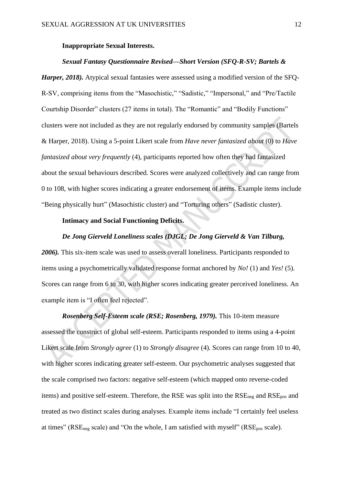#### **Inappropriate Sexual Interests.**

#### *Sexual Fantasy Questionnaire Revised—Short Version (SFQ-R-SV; Bartels &*

*Harper, 2018*). Atypical sexual fantasies were assessed using a modified version of the SFO-R-SV, comprising items from the "Masochistic," "Sadistic," "Impersonal," and "Pre/Tactile Courtship Disorder" clusters (27 items in total). The "Romantic" and "Bodily Functions" clusters were not included as they are not regularly endorsed by community samples (Bartels & Harper, 2018). Using a 5-point Likert scale from *Have never fantasized about* (0) to *Have fantasized about very frequently* (4), participants reported how often they had fantasized about the sexual behaviours described. Scores were analyzed collectively and can range from 0 to 108, with higher scores indicating a greater endorsement of items. Example items include "Being physically hurt" (Masochistic cluster) and "Torturing others" (Sadistic cluster).

#### **Intimacy and Social Functioning Deficits.**

#### *De Jong Gierveld Loneliness scales (DJGL; De Jong Gierveld & Van Tilburg,*

*2006).* This six-item scale was used to assess overall loneliness. Participants responded to items using a psychometrically validated response format anchored by *No!* (1) and *Yes!* (5). Scores can range from 6 to 30, with higher scores indicating greater perceived loneliness. An example item is "I often feel rejected".

*Rosenberg Self-Esteem scale (RSE; Rosenberg, 1979).* This 10-item measure assessed the construct of global self-esteem. Participants responded to items using a 4-point Likert scale from *Strongly agree* (1) to *Strongly disagree* (4). Scores can range from 10 to 40, with higher scores indicating greater self-esteem. Our psychometric analyses suggested that the scale comprised two factors: negative self-esteem (which mapped onto reverse-coded items) and positive self-esteem. Therefore, the RSE was split into the  $RSE_{\text{neg}}$  and  $RSE_{\text{pos}}$  and treated as two distinct scales during analyses. Example items include "I certainly feel useless at times" ( $RSE_{\text{neg}}$  scale) and "On the whole, I am satisfied with myself" ( $RSE_{\text{pos}}$  scale).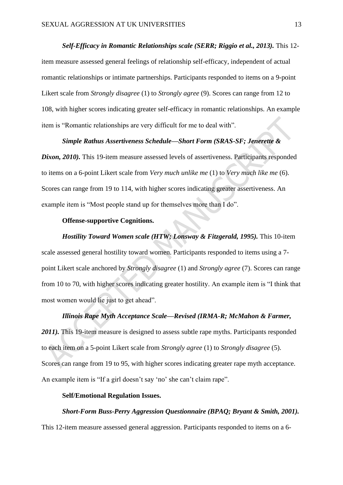#### *Self-Efficacy in Romantic Relationships scale (SERR; Riggio et al., 2013).* This 12-

item measure assessed general feelings of relationship self-efficacy, independent of actual romantic relationships or intimate partnerships. Participants responded to items on a 9-point Likert scale from *Strongly disagree* (1) to *Strongly agree* (9). Scores can range from 12 to 108, with higher scores indicating greater self-efficacy in romantic relationships. An example item is "Romantic relationships are very difficult for me to deal with".

#### *Simple Rathus Assertiveness Schedule—Short Form (SRAS-SF; Jenerette &*

*Dixon, 2010).* This 19-item measure assessed levels of assertiveness. Participants responded to items on a 6-point Likert scale from *Very much unlike me* (1) to *Very much like me* (6). Scores can range from 19 to 114, with higher scores indicating greater assertiveness. An example item is "Most people stand up for themselves more than I do".

#### **Offense-supportive Cognitions.**

*Hostility Toward Women scale (HTW; Lonsway & Fitzgerald, 1995).* This 10-item scale assessed general hostility toward women. Participants responded to items using a 7 point Likert scale anchored by *Strongly disagree* (1) and *Strongly agree* (7). Scores can range from 10 to 70, with higher scores indicating greater hostility. An example item is "I think that most women would lie just to get ahead".

#### *Illinois Rape Myth Acceptance Scale—Revised (IRMA-R; McMahon & Farmer,*

2011). This 19-item measure is designed to assess subtle rape myths. Participants responded to each item on a 5-point Likert scale from *Strongly agree* (1) to *Strongly disagree* (5). Scores can range from 19 to 95, with higher scores indicating greater rape myth acceptance. An example item is "If a girl doesn't say 'no' she can't claim rape".

#### **Self/Emotional Regulation Issues.**

#### *Short-Form Buss-Perry Aggression Questionnaire (BPAQ; Bryant & Smith, 2001).*

This 12-item measure assessed general aggression. Participants responded to items on a 6-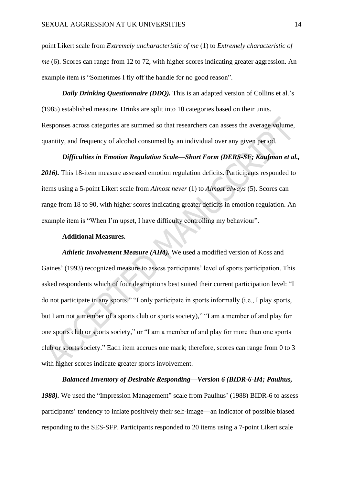point Likert scale from *Extremely uncharacteristic of me* (1) to *Extremely characteristic of me* (6). Scores can range from 12 to 72, with higher scores indicating greater aggression. An example item is "Sometimes I fly off the handle for no good reason".

*Daily Drinking Questionnaire (DDQ)*. This is an adapted version of Collins et al.'s (1985) established measure. Drinks are split into 10 categories based on their units. Responses across categories are summed so that researchers can assess the average volume, quantity, and frequency of alcohol consumed by an individual over any given period.

## *Difficulties in Emotion Regulation Scale—Short Form (DERS-SF; Kaufman et al.,*

2016). This 18-item measure assessed emotion regulation deficits. Participants responded to items using a 5-point Likert scale from *Almost never* (1) to *Almost always* (5). Scores can range from 18 to 90, with higher scores indicating greater deficits in emotion regulation. An example item is "When I'm upset, I have difficulty controlling my behaviour".

#### **Additional Measures.**

*Athletic Involvement Measure (AIM).* We used a modified version of Koss and Gaines' (1993) recognized measure to assess participants' level of sports participation. This asked respondents which of four descriptions best suited their current participation level: "I do not participate in any sports," "I only participate in sports informally (i.e., I play sports, but I am not a member of a sports club or sports society)," "I am a member of and play for one sports club or sports society," or "I am a member of and play for more than one sports club or sports society." Each item accrues one mark; therefore, scores can range from 0 to 3 with higher scores indicate greater sports involvement.

#### *Balanced Inventory of Desirable Responding—Version 6 (BIDR-6-IM; Paulhus,*

1988). We used the "Impression Management" scale from Paulhus' (1988) BIDR-6 to assess participants' tendency to inflate positively their self-image—an indicator of possible biased responding to the SES-SFP. Participants responded to 20 items using a 7-point Likert scale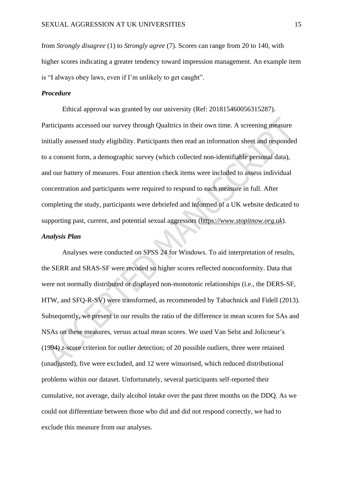from *Strongly disagree* (1) to *Strongly agree* (7). Scores can range from 20 to 140, with higher scores indicating a greater tendency toward impression management. An example item is "I always obey laws, even if I'm unlikely to get caught".

#### *Procedure*

Ethical approval was granted by our university (Ref: 201815460056315287). Participants accessed our survey through Qualtrics in their own time. A screening measure initially assessed study eligibility. Participants then read an information sheet and responded to a consent form, a demographic survey (which collected non-identifiable personal data), and our battery of measures. Four attention check items were included to assess individual concentration and participants were required to respond to each measure in full. After completing the study, participants were debriefed and informed of a UK website dedicated to supporting past, current, and potential sexual aggressors (https*[://www.stopitnow.org.uk](https://www.stopitnow.org.uk/)*).

#### *Analysis Plan*

Analyses were conducted on SPSS 24 for Windows. To aid interpretation of results, the SERR and SRAS-SF were recoded so higher scores reflected nonconformity. Data that were not normally distributed or displayed non-monotonic relationships (i.e., the DERS-SF, HTW, and SFQ-R-SV) were transformed, as recommended by Tabachnick and Fidell (2013). Subsequently, we present in our results the ratio of the difference in mean scores for SAs and NSAs on these measures, versus actual mean scores. We used Van Selst and Jolicoeur's (1994) *z*-score criterion for outlier detection; of 20 possible outliers, three were retained (unadjusted), five were excluded, and 12 were winsorised, which reduced distributional problems within our dataset. Unfortunately, several participants self-reported their cumulative, not average, daily alcohol intake over the past three months on the DDQ. As we could not differentiate between those who did and did not respond correctly, we had to exclude this measure from our analyses.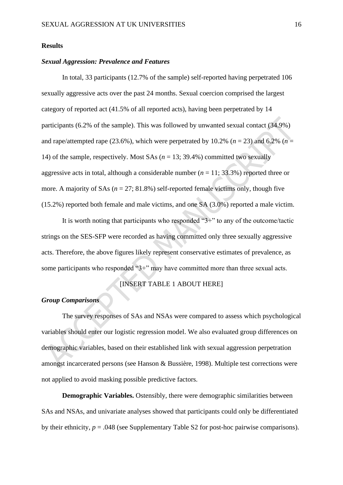#### **Results**

#### *Sexual Aggression: Prevalence and Features*

In total, 33 participants (12.7% of the sample) self-reported having perpetrated 106 sexually aggressive acts over the past 24 months. Sexual coercion comprised the largest category of reported act (41.5% of all reported acts), having been perpetrated by 14 participants (6.2% of the sample). This was followed by unwanted sexual contact (34.9%) and rape/attempted rape (23.6%), which were perpetrated by 10.2% ( $n = 23$ ) and 6.2% ( $n =$ 14) of the sample, respectively. Most SAs (*n* = 13; 39.4%) committed two sexually aggressive acts in total, although a considerable number  $(n = 11; 33.3\%)$  reported three or more. A majority of SAs  $(n = 27; 81.8\%)$  self-reported female victims only, though five (15.2%) reported both female and male victims, and one SA (3.0%) reported a male victim.

It is worth noting that participants who responded "3+" to any of the outcome/tactic strings on the SES-SFP were recorded as having committed only three sexually aggressive acts. Therefore, the above figures likely represent conservative estimates of prevalence, as some participants who responded "3+" may have committed more than three sexual acts.

#### [INSERT TABLE 1 ABOUT HERE]

#### *Group Comparisons*

The survey responses of SAs and NSAs were compared to assess which psychological variables should enter our logistic regression model. We also evaluated group differences on demographic variables, based on their established link with sexual aggression perpetration amongst incarcerated persons (see Hanson & Bussière, 1998). Multiple test corrections were not applied to avoid masking possible predictive factors.

**Demographic Variables.** Ostensibly, there were demographic similarities between SAs and NSAs, and univariate analyses showed that participants could only be differentiated by their ethnicity,  $p = .048$  (see Supplementary Table S2 for post-hoc pairwise comparisons).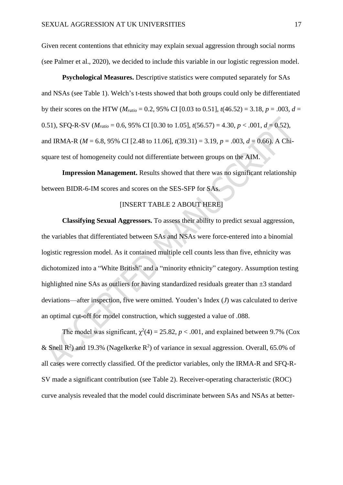Given recent contentions that ethnicity may explain sexual aggression through social norms (see Palmer et al., 2020), we decided to include this variable in our logistic regression model.

**Psychological Measures.** Descriptive statistics were computed separately for SAs and NSAs (see Table 1). Welch's t-tests showed that both groups could only be differentiated by their scores on the HTW ( $M_{ratio} = 0.2$ , 95% CI [0.03 to 0.51],  $t(46.52) = 3.18$ ,  $p = .003$ ,  $d =$ 0.51), SFO-R-SV ( $M_{ratio} = 0.6$ , 95% CI [0.30 to 1.05],  $t(56.57) = 4.30$ ,  $p < .001$ ,  $d = 0.52$ ), and IRMA-R (*M* = 6.8, 95% CI [2.48 to 11.06], *t*(39.31) = 3.19, *p* = .003, *d* = 0.66). A Chisquare test of homogeneity could not differentiate between groups on the AIM.

**Impression Management.** Results showed that there was no significant relationship between BIDR-6-IM scores and scores on the SES-SFP for SAs.

#### [INSERT TABLE 2 ABOUT HERE]

**Classifying Sexual Aggressors.** To assess their ability to predict sexual aggression, the variables that differentiated between SAs and NSAs were force-entered into a binomial logistic regression model. As it contained multiple cell counts less than five, ethnicity was dichotomized into a "White British" and a "minority ethnicity" category. Assumption testing highlighted nine SAs as outliers for having standardized residuals greater than  $\pm 3$  standard deviations—after inspection, five were omitted. Youden's Index (*J*) was calculated to derive an optimal cut-off for model construction, which suggested a value of .088.

The model was significant,  $\chi^2(4) = 25.82$ ,  $p < .001$ , and explained between 9.7% (Cox & Snell  $\mathbb{R}^2$ ) and 19.3% (Nagelkerke  $\mathbb{R}^2$ ) of variance in sexual aggression. Overall, 65.0% of all cases were correctly classified. Of the predictor variables, only the IRMA-R and SFQ-R-SV made a significant contribution (see Table 2). Receiver-operating characteristic (ROC) curve analysis revealed that the model could discriminate between SAs and NSAs at better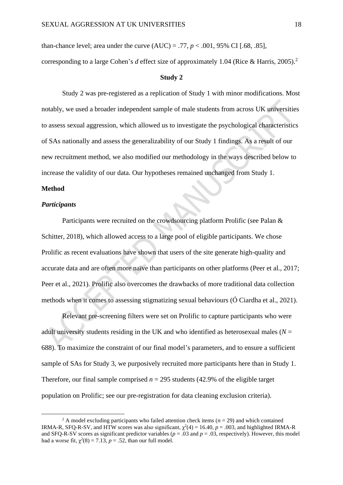than-chance level; area under the curve  $(AUC) = .77$ ,  $p < .001$ , 95% CI [.68, .85],

corresponding to a large Cohen's *d* effect size of approximately 1.04 (Rice & Harris, 2005). 2

#### **Study 2**

Study 2 was pre-registered as a replication of Study 1 with minor modifications. Most notably, we used a broader independent sample of male students from across UK universities to assess sexual aggression, which allowed us to investigate the psychological characteristics of SAs nationally and assess the generalizability of our Study 1 findings. As a result of our new recruitment method, we also modified our methodology in the ways described below to increase the validity of our data. Our hypotheses remained unchanged from Study 1.

#### **Method**

#### *Participants*

Participants were recruited on the crowdsourcing platform Prolific (see Palan & Schitter, 2018), which allowed access to a large pool of eligible participants. We chose Prolific as recent evaluations have shown that users of the site generate high-quality and accurate data and are often more naïve than participants on other platforms (Peer et al., 2017; Peer et al., 2021). Prolific also overcomes the drawbacks of more traditional data collection methods when it comes to assessing stigmatizing sexual behaviours (Ó Ciardha et al., 2021).

Relevant pre-screening filters were set on Prolific to capture participants who were adult university students residing in the UK and who identified as heterosexual males ( $N =$ 688). To maximize the constraint of our final model's parameters, and to ensure a sufficient sample of SAs for Study 3, we purposively recruited more participants here than in Study 1. Therefore, our final sample comprised  $n = 295$  students (42.9% of the eligible target population on Prolific; see our pre-registration for data cleaning exclusion criteria).

<sup>&</sup>lt;sup>2</sup> A model excluding participants who failed attention check items ( $n = 29$ ) and which contained IRMA-R, SFQ-R-SV, and HTW scores was also significant,  $\chi^2(4) = 16.40$ ,  $p = .003$ , and highlighted IRMA-R and SFQ-R-SV scores as significant predictor variables ( $p = .03$  and  $p = .03$ , respectively). However, this model had a worse fit,  $\chi^2(8) = 7.13$ ,  $p = .52$ , than our full model.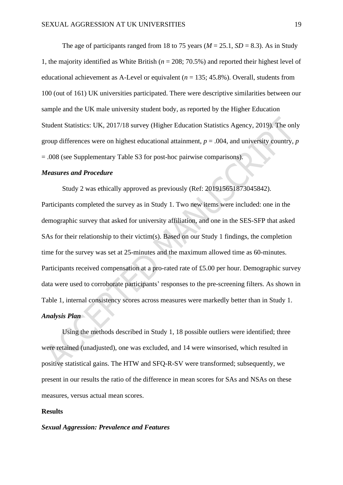The age of participants ranged from 18 to 75 years ( $M = 25.1$ ,  $SD = 8.3$ ). As in Study 1, the majority identified as White British (*n* = 208; 70.5%) and reported their highest level of educational achievement as A-Level or equivalent  $(n = 135; 45.8\%)$ . Overall, students from 100 (out of 161) UK universities participated. There were descriptive similarities between our sample and the UK male university student body, as reported by the Higher Education Student Statistics: UK, 2017/18 survey (Higher Education Statistics Agency, 2019). The only group differences were on highest educational attainment, *p* = .004, and university country, *p* = .008 (see Supplementary Table S3 for post-hoc pairwise comparisons).

#### *Measures and Procedure*

Study 2 was ethically approved as previously (Ref: 201915651873045842). Participants completed the survey as in Study 1. Two new items were included: one in the demographic survey that asked for university affiliation, and one in the SES-SFP that asked SAs for their relationship to their victim(s). Based on our Study 1 findings, the completion time for the survey was set at 25-minutes and the maximum allowed time as 60-minutes. Participants received compensation at a pro-rated rate of £5.00 per hour. Demographic survey data were used to corroborate participants' responses to the pre-screening filters. As shown in Table 1, internal consistency scores across measures were markedly better than in Study 1. *Analysis Plan*

Using the methods described in Study 1, 18 possible outliers were identified; three were retained (unadjusted), one was excluded, and 14 were winsorised, which resulted in positive statistical gains. The HTW and SFQ-R-SV were transformed; subsequently, we present in our results the ratio of the difference in mean scores for SAs and NSAs on these measures, versus actual mean scores.

#### **Results**

#### *Sexual Aggression: Prevalence and Features*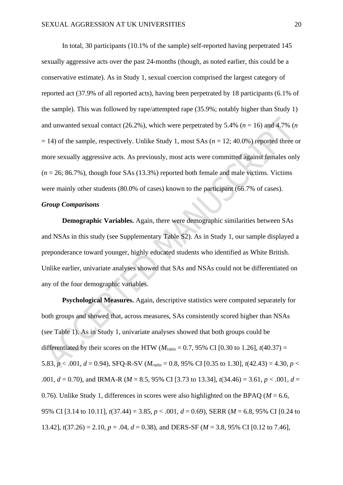In total, 30 participants (10.1% of the sample) self-reported having perpetrated 145 sexually aggressive acts over the past 24-months (though, as noted earlier, this could be a conservative estimate). As in Study 1, sexual coercion comprised the largest category of reported act (37.9% of all reported acts), having been perpetrated by 18 participants (6.1% of the sample). This was followed by rape/attempted rape (35.9%; notably higher than Study 1) and unwanted sexual contact  $(26.2\%)$ , which were perpetrated by 5.4% ( $n = 16$ ) and 4.7% (*n*  $= 14$ ) of the sample, respectively. Unlike Study 1, most SAs ( $n = 12$ ; 40.0%) reported three or more sexually aggressive acts. As previously, most acts were committed against females only  $(n = 26; 86.7\%)$ , though four SAs  $(13.3\%)$  reported both female and male victims. Victims were mainly other students (80.0% of cases) known to the participant (66.7% of cases).

#### *Group Comparisons*

**Demographic Variables.** Again, there were demographic similarities between SAs and NSAs in this study (see Supplementary Table S2). As in Study 1, our sample displayed a preponderance toward younger, highly educated students who identified as White British. Unlike earlier, univariate analyses showed that SAs and NSAs could not be differentiated on any of the four demographic variables.

**Psychological Measures.** Again, descriptive statistics were computed separately for both groups and showed that, across measures, SAs consistently scored higher than NSAs (see Table 1). As in Study 1, univariate analyses showed that both groups could be differentiated by their scores on the HTW ( $M_{ratio} = 0.7$ , 95% CI [0.30 to 1.26],  $t(40.37) =$ 5.83,  $p < .001$ ,  $d = 0.94$ ), SFQ-R-SV ( $M_{ratio} = 0.8$ , 95% CI [0.35 to 1.30],  $t(42.43) = 4.30$ ,  $p <$ .001, *d* = 0.70), and IRMA-R (*M* = 8.5, 95% CI [3.73 to 13.34], *t*(34.46) = 3.61, *p* < .001, *d* = 0.76). Unlike Study 1, differences in scores were also highlighted on the BPAQ ( $M = 6.6$ , 95% CI [3.14 to 10.11], *t*(37.44) = 3.85, *p* < .001, *d* = 0.69), SERR (*M* = 6.8, 95% CI [0.24 to 13.42], *t*(37.26) = 2.10, *p* = .04, *d* = 0.38), and DERS-SF (*M* = 3.8, 95% CI [0.12 to 7.46],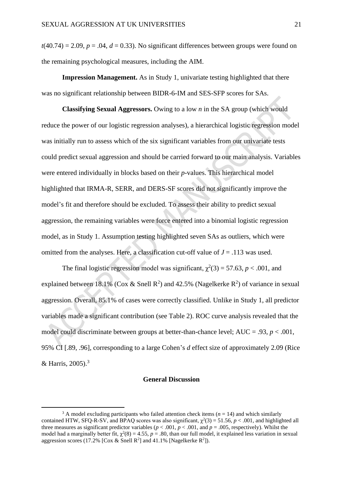$t(40.74) = 2.09$ ,  $p = .04$ ,  $d = 0.33$ ). No significant differences between groups were found on the remaining psychological measures, including the AIM.

**Impression Management.** As in Study 1, univariate testing highlighted that there was no significant relationship between BIDR-6-IM and SES-SFP scores for SAs.

**Classifying Sexual Aggressors.** Owing to a low *n* in the SA group (which would reduce the power of our logistic regression analyses), a hierarchical logistic regression model was initially run to assess which of the six significant variables from our univariate tests could predict sexual aggression and should be carried forward to our main analysis. Variables were entered individually in blocks based on their *p*-values. This hierarchical model highlighted that IRMA-R, SERR, and DERS-SF scores did not significantly improve the model's fit and therefore should be excluded. To assess their ability to predict sexual aggression, the remaining variables were force entered into a binomial logistic regression model, as in Study 1. Assumption testing highlighted seven SAs as outliers, which were omitted from the analyses. Here, a classification cut-off value of  $J = .113$  was used.

The final logistic regression model was significant,  $\chi^2(3) = 57.63$ ,  $p < .001$ , and explained between 18.1% (Cox & Snell R<sup>2</sup>) and 42.5% (Nagelkerke R<sup>2</sup>) of variance in sexual aggression. Overall, 85.1% of cases were correctly classified. Unlike in Study 1, all predictor variables made a significant contribution (see Table 2). ROC curve analysis revealed that the model could discriminate between groups at better-than-chance level; AUC = .93, *p* < .001, 95% CI [.89, .96], corresponding to a large Cohen's *d* effect size of approximately 2.09 (Rice & Harris, 2005).<sup>3</sup>

#### **General Discussion**

<sup>&</sup>lt;sup>3</sup> A model excluding participants who failed attention check items ( $n = 14$ ) and which similarly contained HTW, SFQ-R-SV, and BPAQ scores was also significant,  $\chi^2(3) = 51.56$ ,  $p < .001$ , and highlighted all three measures as significant predictor variables ( $p < .001$ ,  $p < .001$ , and  $p = .005$ , respectively). Whilst the model had a marginally better fit,  $\chi^2(8) = 4.55$ ,  $p = .80$ , than our full model, it explained less variation in sexual aggression scores (17.2% [Cox & Snell  $R^2$ ] and 41.1% [Nagelkerke  $R^2$ ]).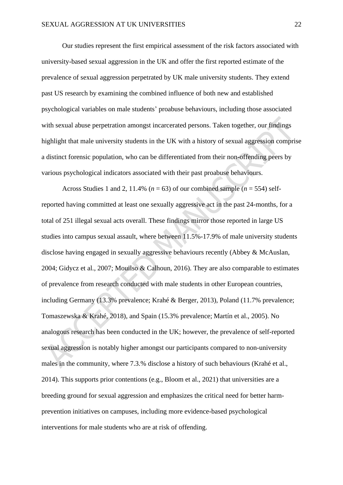Our studies represent the first empirical assessment of the risk factors associated with university-based sexual aggression in the UK and offer the first reported estimate of the prevalence of sexual aggression perpetrated by UK male university students. They extend past US research by examining the combined influence of both new and established psychological variables on male students' proabuse behaviours, including those associated with sexual abuse perpetration amongst incarcerated persons. Taken together, our findings highlight that male university students in the UK with a history of sexual aggression comprise a distinct forensic population, who can be differentiated from their non-offending peers by various psychological indicators associated with their past proabuse behaviours.

Across Studies 1 and 2, 11.4% ( $n = 63$ ) of our combined sample ( $n = 554$ ) selfreported having committed at least one sexually aggressive act in the past 24-months, for a total of 251 illegal sexual acts overall. These findings mirror those reported in large US studies into campus sexual assault, where between 11.5%-17.9% of male university students disclose having engaged in sexually aggressive behaviours recently (Abbey & McAuslan, 2004; Gidycz et al., 2007; Mouilso & Calhoun, 2016). They are also comparable to estimates of prevalence from research conducted with male students in other European countries, including Germany (13.3% prevalence; Krahé & Berger, 2013), Poland (11.7% prevalence; Tomaszewska & Krahé, 2018), and Spain (15.3% prevalence; Martín et al., 2005). No analogous research has been conducted in the UK; however, the prevalence of self-reported sexual aggression is notably higher amongst our participants compared to non-university males in the community, where 7.3.% disclose a history of such behaviours (Krahé et al., 2014). This supports prior contentions (e.g., Bloom et al., 2021) that universities are a breeding ground for sexual aggression and emphasizes the critical need for better harmprevention initiatives on campuses, including more evidence-based psychological interventions for male students who are at risk of offending.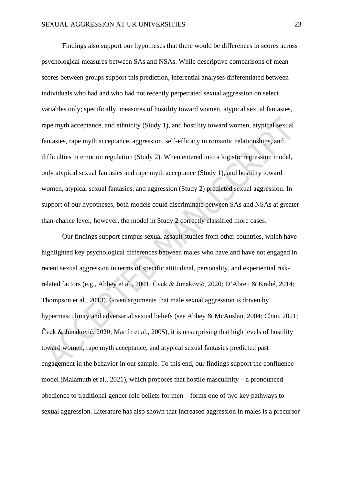Findings also support our hypotheses that there would be differences in scores across psychological measures between SAs and NSAs. While descriptive comparisons of mean scores between groups support this prediction, inferential analyses differentiated between individuals who had and who had not recently perpetrated sexual aggression on select variables only; specifically, measures of hostility toward women, atypical sexual fantasies, rape myth acceptance, and ethnicity (Study 1), and hostility toward women, atypical sexual fantasies, rape myth acceptance, aggression, self-efficacy in romantic relationships, and difficulties in emotion regulation (Study 2). When entered into a logistic regression model, only atypical sexual fantasies and rape myth acceptance (Study 1), and hostility toward women, atypical sexual fantasies, and aggression (Study 2) predicted sexual aggression. In support of our hypotheses, both models could discriminate between SAs and NSAs at greaterthan-chance level; however, the model in Study 2 correctly classified more cases.

Our findings support campus sexual assault studies from other countries, which have highlighted key psychological differences between males who have and have not engaged in recent sexual aggression in terms of specific attitudinal, personality, and experiential riskrelated factors (e.g., Abbey et al., 2001; Čvek & Junaković, 2020; D'Abreu & Krahé, 2014; Thompson et al., 2013). Given arguments that male sexual aggression is driven by hypermasculinity and adversarial sexual beliefs (see Abbey & McAuslan, 2004; Chan, 2021; Čvek & Junaković, 2020; Martín et al., 2005), it is unsurprising that high levels of hostility toward women, rape myth acceptance, and atypical sexual fantasies predicted past engagement in the behavior in our sample. To this end, our findings support the confluence model (Malamuth et al., 2021), which proposes that hostile masculinity—a pronounced obedience to traditional gender role beliefs for men—forms one of two key pathways to sexual aggression. Literature has also shown that increased aggression in males is a precursor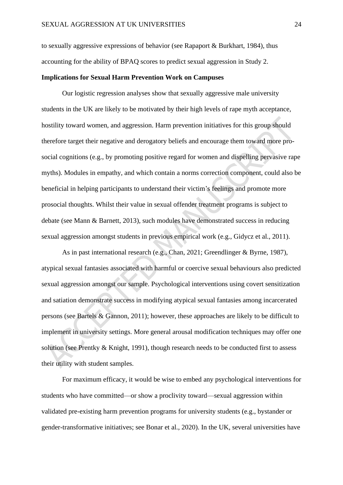to sexually aggressive expressions of behavior (see Rapaport & Burkhart, 1984), thus accounting for the ability of BPAQ scores to predict sexual aggression in Study 2.

#### **Implications for Sexual Harm Prevention Work on Campuses**

Our logistic regression analyses show that sexually aggressive male university students in the UK are likely to be motivated by their high levels of rape myth acceptance, hostility toward women, and aggression. Harm prevention initiatives for this group should therefore target their negative and derogatory beliefs and encourage them toward more prosocial cognitions (e.g., by promoting positive regard for women and dispelling pervasive rape myths). Modules in empathy, and which contain a norms correction component, could also be beneficial in helping participants to understand their victim's feelings and promote more prosocial thoughts. Whilst their value in sexual offender treatment programs is subject to debate (see Mann & Barnett, 2013), such modules have demonstrated success in reducing sexual aggression amongst students in previous empirical work (e.g., Gidycz et al., 2011).

As in past international research (e.g., Chan, 2021; Greendlinger & Byrne, 1987), atypical sexual fantasies associated with harmful or coercive sexual behaviours also predicted sexual aggression amongst our sample. Psychological interventions using covert sensitization and satiation demonstrate success in modifying atypical sexual fantasies among incarcerated persons (see Bartels & Gannon, 2011); however, these approaches are likely to be difficult to implement in university settings. More general arousal modification techniques may offer one solution (see Prentky & Knight, 1991), though research needs to be conducted first to assess their utility with student samples.

For maximum efficacy, it would be wise to embed any psychological interventions for students who have committed—or show a proclivity toward—sexual aggression within validated pre-existing harm prevention programs for university students (e.g., bystander or gender-transformative initiatives; see Bonar et al., 2020). In the UK, several universities have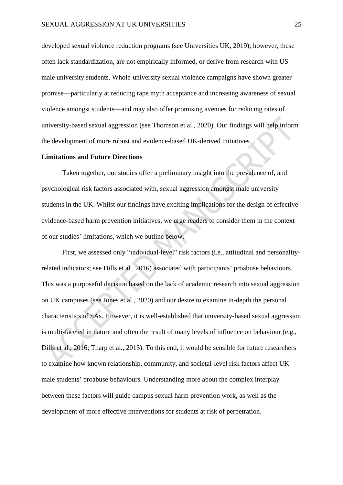developed sexual violence reduction programs (see Universities UK, 2019); however, these often lack standardization, are not empirically informed, or derive from research with US male university students. Whole-university sexual violence campaigns have shown greater promise—particularly at reducing rape myth acceptance and increasing awareness of sexual violence amongst students—and may also offer promising avenues for reducing rates of university-based sexual aggression (see Thomson et al., 2020). Our findings will help inform the development of more robust and evidence-based UK-derived initiatives.

#### **Limitations and Future Directions**

Taken together, our studies offer a preliminary insight into the prevalence of, and psychological risk factors associated with, sexual aggression amongst male university students in the UK. Whilst our findings have exciting implications for the design of effective evidence-based harm prevention initiatives, we urge readers to consider them in the context of our studies' limitations, which we outline below.

First, we assessed only "individual-level" risk factors (i.e., attitudinal and personalityrelated indicators; see Dills et al., 2016) associated with participants' proabuse behaviours. This was a purposeful decision based on the lack of academic research into sexual aggression on UK campuses (see Jones et al., 2020) and our desire to examine in-depth the personal characteristics of SAs. However, it is well-established that university-based sexual aggression is multi-faceted in nature and often the result of many levels of influence on behaviour (e.g., Dills et al., 2016; Tharp et al., 2013). To this end, it would be sensible for future researchers to examine how known relationship, community, and societal-level risk factors affect UK male students' proabuse behaviours. Understanding more about the complex interplay between these factors will guide campus sexual harm prevention work, as well as the development of more effective interventions for students at risk of perpetration.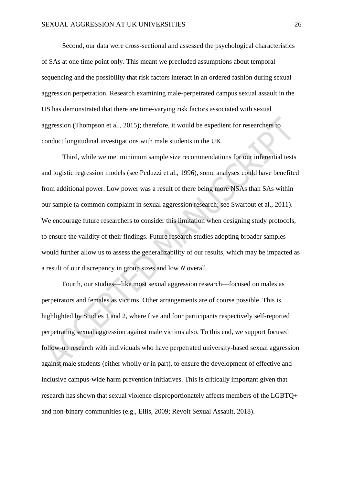Second, our data were cross-sectional and assessed the psychological characteristics of SAs at one time point only. This meant we precluded assumptions about temporal sequencing and the possibility that risk factors interact in an ordered fashion during sexual aggression perpetration. Research examining male-perpetrated campus sexual assault in the US has demonstrated that there are time-varying risk factors associated with sexual aggression (Thompson et al., 2015); therefore, it would be expedient for researchers to conduct longitudinal investigations with male students in the UK.

Third, while we met minimum sample size recommendations for our inferential tests and logistic regression models (see Peduzzi et al., 1996), some analyses could have benefited from additional power. Low power was a result of there being more NSAs than SAs within our sample (a common complaint in sexual aggression research; see Swartout et al., 2011). We encourage future researchers to consider this limitation when designing study protocols, to ensure the validity of their findings. Future research studies adopting broader samples would further allow us to assess the generalizability of our results, which may be impacted as a result of our discrepancy in group sizes and low *N* overall.

Fourth, our studies—like most sexual aggression research—focused on males as perpetrators and females as victims. Other arrangements are of course possible. This is highlighted by Studies 1 and 2, where five and four participants respectively self-reported perpetrating sexual aggression against male victims also. To this end, we support focused follow-up research with individuals who have perpetrated university-based sexual aggression against male students (either wholly or in part), to ensure the development of effective and inclusive campus-wide harm prevention initiatives. This is critically important given that research has shown that sexual violence disproportionately affects members of the LGBTQ+ and non-binary communities (e.g., Ellis, 2009; Revolt Sexual Assault, 2018).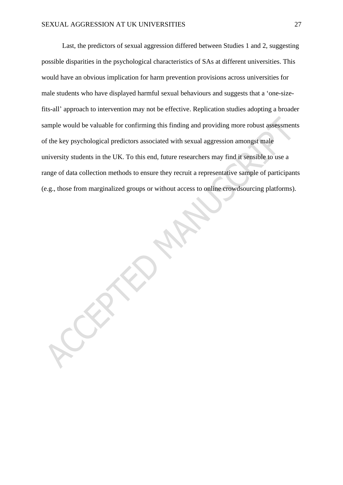Last, the predictors of sexual aggression differed between Studies 1 and 2, suggesting possible disparities in the psychological characteristics of SAs at different universities. This would have an obvious implication for harm prevention provisions across universities for male students who have displayed harmful sexual behaviours and suggests that a 'one-sizefits-all' approach to intervention may not be effective. Replication studies adopting a broader sample would be valuable for confirming this finding and providing more robust assessments of the key psychological predictors associated with sexual aggression amongst male university students in the UK. To this end, future researchers may find it sensible to use a range of data collection methods to ensure they recruit a representative sample of participants (e.g., those from marginalized groups or without access to online crowdsourcing platforms).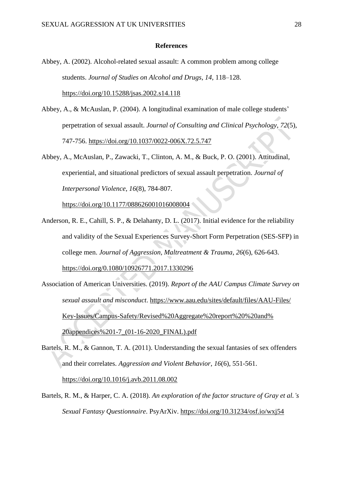#### **References**

- Abbey, A. (2002). Alcohol-related sexual assault: A common problem among college students. *Journal of Studies on Alcohol and Drugs*, *14*, 118–128. <https://doi.org/10.15288/jsas.2002.s14.118>
- Abbey, A., & McAuslan, P. (2004). A longitudinal examination of male college students' perpetration of sexual assault. *Journal of Consulting and Clinical Psychology*, *72*(5), 747-756. [https://doi.org/10.1037/0022-006X.72.5.747](https://psycnet.apa.org/doi/10.1037/0022-006X.72.5.747)
- Abbey, A., McAuslan, P., Zawacki, T., Clinton, A. M., & Buck, P. O. (2001). Attitudinal, experiential, and situational predictors of sexual assault perpetration. *Journal of Interpersonal Violence*, *16*(8), 784-807.

<https://doi.org/10.1177/088626001016008004>

- Anderson, R. E., Cahill, S. P., & Delahanty, D. L. (2017). Initial evidence for the reliability and validity of the Sexual Experiences Survey-Short Form Perpetration (SES-SFP) in college men. *Journal of Aggression, Maltreatment & Trauma*, *26*(6), 626-643. <https://doi.org/0.1080/10926771.2017.1330296>
- Association of American Universities. (2019). *Report of the AAU Campus Climate Survey on sexual assault and misconduct*. [https://www.aau.edu/sites/default/files/AAU-Files/](https://www.aau.edu/sites/default/files/AAU-Files/Key-Issues/Campus-Safety/Revised%20Aggregate%20report%20%20and%20appendices%201-7_(01-16-2020_FINAL).pdf) [Key-Issues/Campus-Safety/Revised%20Aggregate%20report%20%20and%](https://www.aau.edu/sites/default/files/AAU-Files/Key-Issues/Campus-Safety/Revised%20Aggregate%20report%20%20and%20appendices%201-7_(01-16-2020_FINAL).pdf) [20appendices%201-7\\_\(01-16-2020\\_FINAL\).pdf](https://www.aau.edu/sites/default/files/AAU-Files/Key-Issues/Campus-Safety/Revised%20Aggregate%20report%20%20and%20appendices%201-7_(01-16-2020_FINAL).pdf)
- Bartels, R. M., & Gannon, T. A. (2011). Understanding the sexual fantasies of sex offenders and their correlates. *Aggression and Violent Behavior*, *16*(6), 551-561. <https://doi.org/10.1016/j.avb.2011.08.002>
- Bartels, R. M., & Harper, C. A. (2018). *An exploration of the factor structure of Gray et al.'s Sexual Fantasy Questionnaire*. PsyArXiv.<https://doi.org/10.31234/osf.io/wxj54>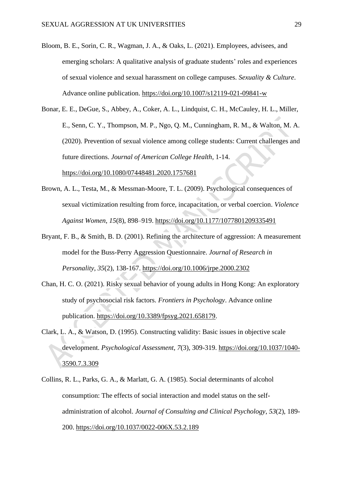- Bloom, B. E., Sorin, C. R., Wagman, J. A., & Oaks, L. (2021). Employees, advisees, and emerging scholars: A qualitative analysis of graduate students' roles and experiences of sexual violence and sexual harassment on college campuses. *Sexuality & Culture*. Advance online publication.<https://doi.org/10.1007/s12119-021-09841-w>
- Bonar, E. E., DeGue, S., Abbey, A., Coker, A. L., Lindquist, C. H., McCauley, H. L., Miller, E., Senn, C. Y., Thompson, M. P., Ngo, Q. M., Cunningham, R. M., & Walton, M. A. (2020). Prevention of sexual violence among college students: Current challenges and future directions. *Journal of American College Health*, 1-14. <https://doi.org/10.1080/07448481.2020.1757681>
- Brown, A. L., Testa, M., & Messman-Moore, T. L. (2009). Psychological consequences of sexual victimization resulting from force, incapacitation, or verbal coercion. *Violence Against Women*, *15*(8), 898–919.<https://doi.org/10.1177/1077801209335491>
- Bryant, F. B., & Smith, B. D. (2001). Refining the architecture of aggression: A measurement model for the Buss-Perry Aggression Questionnaire. *Journal of Research in Personality*, *35*(2), 138-167.<https://doi.org/10.1006/jrpe.2000.2302>
- Chan, H. C. O. (2021). Risky sexual behavior of young adults in Hong Kong: An exploratory study of psychosocial risk factors. *Frontiers in Psychology*. Advance online publication. [https://doi.org/10.3389/fpsyg.2021.658179.](https://doi.org/10.3389/fpsyg.2021.658179)
- Clark, L. A., & Watson, D. (1995). Constructing validity: Basic issues in objective scale development. *Psychological Assessment*, *7*(3), 309-319. [https://doi.org/10.1037/1040-](https://doi.org/10.1037/1040-3590.7.3.309) [3590.7.3.309](https://doi.org/10.1037/1040-3590.7.3.309)
- Collins, R. L., Parks, G. A., & Marlatt, G. A. (1985). Social determinants of alcohol consumption: The effects of social interaction and model status on the selfadministration of alcohol. *Journal of Consulting and Clinical Psychology*, *53*(2), 189- 200.<https://doi.org/10.1037/0022-006X.53.2.189>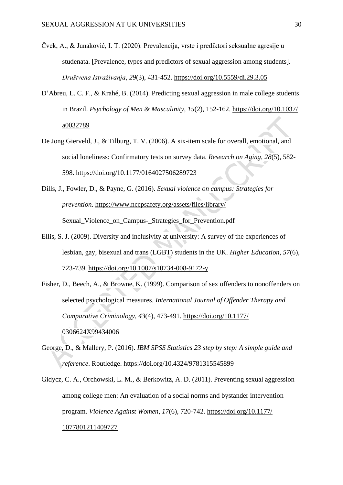- Čvek, A., & Junaković, I. T. (2020). Prevalencija, vrste i prediktori seksualne agresije u studenata. [Prevalence, types and predictors of sexual aggression among students]. *Društvena Istraživanja*, *29*(3), 431-452.<https://doi.org/10.5559/di.29.3.05>
- D'Abreu, L. C. F., & Krahé, B. (2014). Predicting sexual aggression in male college students in Brazil. *Psychology of Men & Masculinity*, *15*(2), 152-162. [https://doi.org/10.1037/](https://doi.org/10.1037/a0032789) [a0032789](https://doi.org/10.1037/a0032789)
- De Jong Gierveld, J., & Tilburg, T. V. (2006). A six-item scale for overall, emotional, and social loneliness: Confirmatory tests on survey data. *Research on Aging*, *28*(5), 582- 598.<https://doi.org/10.1177/0164027506289723>
- Dills, J., Fowler, D., & Payne, G. (2016). *Sexual violence on campus: Strategies for prevention*. [https://www.nccpsafety.org/assets/files/library/](https://www.nccpsafety.org/assets/files/library/Sexual_Violence_on_Campus-_Strategies_for_Prevention.pdf)

Sexual Violence on Campus- Strategies for Prevention.pdf

- Ellis, S. J. (2009). Diversity and inclusivity at university: A survey of the experiences of lesbian, gay, bisexual and trans (LGBT) students in the UK. *Higher Education*, *57*(6), 723-739. <https://doi.org/10.1007/s10734-008-9172-y>
- Fisher, D., Beech, A., & Browne, K. (1999). Comparison of sex offenders to nonoffenders on selected psychological measures. *International Journal of Offender Therapy and Comparative Criminology*, *43*(4), 473-491. [https://doi.org/10.1177/](https://doi.org/10.1177/0306624X99434006) [0306624X99434006](https://doi.org/10.1177/0306624X99434006)
- George, D., & Mallery, P. (2016). *IBM SPSS Statistics 23 step by step: A simple guide and reference*. Routledge.<https://doi.org/10.4324/9781315545899>
- Gidycz, C. A., Orchowski, L. M., & Berkowitz, A. D. (2011). Preventing sexual aggression among college men: An evaluation of a social norms and bystander intervention program. *Violence Against Women*, *17*(6), 720-742. [https://doi.org/10.1177/](https://doi.org/10.1177/1077801211409727) [1077801211409727](https://doi.org/10.1177/1077801211409727)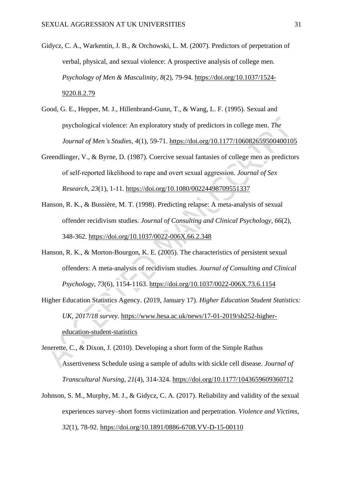- Gidycz, C. A., Warkentin, J. B., & Orchowski, L. M. (2007). Predictors of perpetration of verbal, physical, and sexual violence: A prospective analysis of college men. *Psychology of Men & Masculinity*, *8*(2), 79-94. [https://doi.org/10.1037/1524-](https://doi.org/10.1037/1524-9220.8.2.79) [9220.8.2.79](https://doi.org/10.1037/1524-9220.8.2.79)
- Good, G. E., Hepper, M. J., Hillenbrand-Gunn, T., & Wang, L. F. (1995). Sexual and psychological violence: An exploratory study of predictors in college men. *The Journal of Men's Studies*, *4*(1), 59-71. [https://doi.org/10.1177/106082659500400105](https://doi.org/10.1177%2F106082659500400105)
- Greendlinger, V., & Byrne, D. (1987). Coercive sexual fantasies of college men as predictors of self‐reported likelihood to rape and overt sexual aggression. *Journal of Sex Research*, *23*(1), 1-11.<https://doi.org/10.1080/00224498709551337>
- Hanson, R. K., & Bussière, M. T. (1998). Predicting relapse: A meta-analysis of sexual offender recidivism studies. *Journal of Consulting and Clinical Psychology*, *66*(2), 348-362. [https://doi.org/10.1037/0022-006X.66.2.348](https://psycnet.apa.org/doi/10.1037/0022-006X.66.2.348)
- Hanson, R. K., & Morton-Bourgon, K. E. (2005). The characteristics of persistent sexual offenders: A meta-analysis of recidivism studies. *Journal of Consulting and Clinical Psychology*, *73*(6), 1154-1163.<https://doi.org/10.1037/0022-006X.73.6.1154>
- Higher Education Statistics Agency. (2019, January 17). *Higher Education Student Statistics: UK, 2017/18 survey*. [https://www.hesa.ac.uk/news/17-01-2019/sb252-higher](https://www.hesa.ac.uk/news/17-01-2019/sb252-higher-education-student-statistics)[education-student-statistics](https://www.hesa.ac.uk/news/17-01-2019/sb252-higher-education-student-statistics)
- Jenerette, C., & Dixon, J. (2010). Developing a short form of the Simple Rathus Assertiveness Schedule using a sample of adults with sickle cell disease. *Journal of Transcultural Nursing*, *21*(4), 314-324.<https://doi.org/10.1177/1043659609360712>
- Johnson, S. M., Murphy, M. J., & Gidycz, C. A. (2017). Reliability and validity of the sexual experiences survey–short forms victimization and perpetration. *Violence and Victims*, *32*(1), 78-92.<https://doi.org/10.1891/0886-6708.VV-D-15-00110>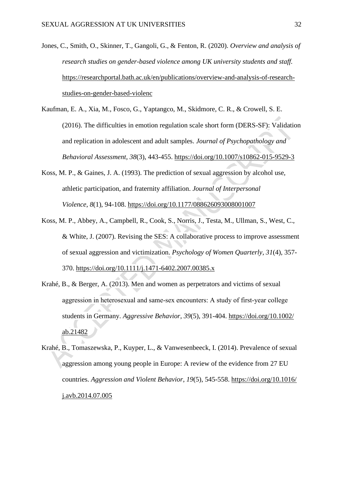- Jones, C., Smith, O., Skinner, T., Gangoli, G., & Fenton, R. (2020). *Overview and analysis of research studies on gender-based violence among UK university students and staff.* [https://researchportal.bath.ac.uk/en/publications/overview-and-analysis-of-research](https://researchportal.bath.ac.uk/en/publications/overview-and-analysis-of-research-studies-on-gender-based-violenc)[studies-on-gender-based-violenc](https://researchportal.bath.ac.uk/en/publications/overview-and-analysis-of-research-studies-on-gender-based-violenc)
- Kaufman, E. A., Xia, M., Fosco, G., Yaptangco, M., Skidmore, C. R., & Crowell, S. E. (2016). The difficulties in emotion regulation scale short form (DERS-SF): Validation and replication in adolescent and adult samples. *Journal of Psychopathology and Behavioral Assessment*, *38*(3), 443-455.<https://doi.org/10.1007/s10862-015-9529-3>
- Koss, M. P., & Gaines, J. A. (1993). The prediction of sexual aggression by alcohol use, athletic participation, and fraternity affiliation. *Journal of Interpersonal Violence*, *8*(1), 94-108.<https://doi.org/10.1177/088626093008001007>
- Koss, M. P., Abbey, A., Campbell, R., Cook, S., Norris, J., Testa, M., Ullman, S., West, C., & White, J. (2007). Revising the SES: A collaborative process to improve assessment of sexual aggression and victimization. *Psychology of Women Quarterly*, *31*(4), 357- 370.<https://doi.org/10.1111/j.1471-6402.2007.00385.x>
- Krahé, B., & Berger, A. (2013). Men and women as perpetrators and victims of sexual aggression in heterosexual and same‐sex encounters: A study of first‐year college students in Germany. *Aggressive Behavior*, *39*(5), 391-404. [https://doi.org/10.1002/](https://doi.org/10.1002/ab.21482) [ab.21482](https://doi.org/10.1002/ab.21482)
- Krahé, B., Tomaszewska, P., Kuyper, L., & Vanwesenbeeck, I. (2014). Prevalence of sexual aggression among young people in Europe: A review of the evidence from 27 EU countries. *Aggression and Violent Behavior*, *19*(5), 545-558. [https://doi.org/10.1016/](https://doi.org/10.1016/j.avb.2014.07.005) [j.avb.2014.07.005](https://doi.org/10.1016/j.avb.2014.07.005)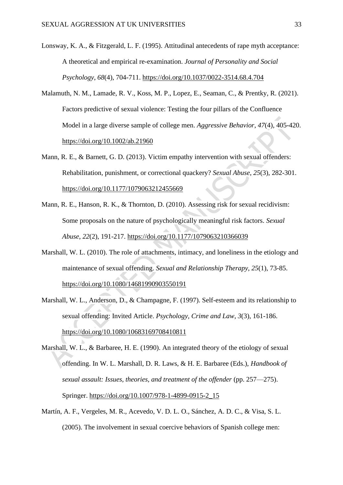Lonsway, K. A., & Fitzgerald, L. F. (1995). Attitudinal antecedents of rape myth acceptance: A theoretical and empirical re-examination. *Journal of Personality and Social Psychology*, *68*(4), 704-711.<https://doi.org/10.1037/0022-3514.68.4.704>

- Malamuth, N. M., Lamade, R. V., Koss, M. P., Lopez, E., Seaman, C., & Prentky, R. (2021). Factors predictive of sexual violence: Testing the four pillars of the Confluence Model in a large diverse sample of college men. *Aggressive Behavior*, *47*(4), 405-420. <https://doi.org/10.1002/ab.21960>
- Mann, R. E., & Barnett, G. D. (2013). Victim empathy intervention with sexual offenders: Rehabilitation, punishment, or correctional quackery? *Sexual Abuse*, *25*(3), 282-301. <https://doi.org/10.1177/1079063212455669>
- Mann, R. E., Hanson, R. K., & Thornton, D. (2010). Assessing risk for sexual recidivism: Some proposals on the nature of psychologically meaningful risk factors. *Sexual Abuse*, *22*(2), 191-217.<https://doi.org/10.1177/1079063210366039>
- Marshall, W. L. (2010). The role of attachments, intimacy, and loneliness in the etiology and maintenance of sexual offending. *Sexual and Relationship Therapy*, *25*(1), 73-85. <https://doi.org/10.1080/14681990903550191>
- Marshall, W. L., Anderson, D., & Champagne, F. (1997). Self-esteem and its relationship to sexual offending: Invited Article. *Psychology, Crime and Law*, *3*(3), 161-186. <https://doi.org/10.1080/10683169708410811>
- Marshall, W. L., & Barbaree, H. E. (1990). An integrated theory of the etiology of sexual offending. In W. L. Marshall, D. R. Laws, & H. E. Barbaree (Eds.), *Handbook of sexual assault: Issues, theories, and treatment of the offender* (pp. 257—275). Springer. [https://doi.org/10.1007/978-1-4899-0915-2\\_15](https://doi.org/10.1007/978-1-4899-0915-2_15)
- Martín, A. F., Vergeles, M. R., Acevedo, V. D. L. O., Sánchez, A. D. C., & Visa, S. L. (2005). The involvement in sexual coercive behaviors of Spanish college men: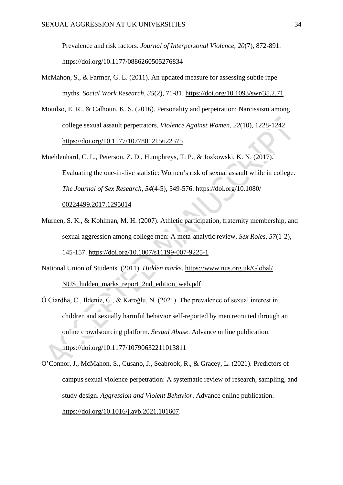Prevalence and risk factors. *Journal of Interpersonal Violence*, *20*(7), 872-891. [https://doi.org/10.1177/0886260505276834](https://doi.org/10.1177%2F0886260505276834)

- McMahon, S., & Farmer, G. L. (2011). An updated measure for assessing subtle rape myths. *Social Work Research*, *35*(2), 71-81.<https://doi.org/10.1093/swr/35.2.71>
- Mouilso, E. R., & Calhoun, K. S. (2016). Personality and perpetration: Narcissism among college sexual assault perpetrators. *Violence Against Women*, *22*(10), 1228-1242. [https://doi.org/10.1177/1077801215622575](https://doi.org/10.1177%2F1077801215622575)
- Muehlenhard, C. L., Peterson, Z. D., Humphreys, T. P., & Jozkowski, K. N. (2017). Evaluating the one-in-five statistic: Women's risk of sexual assault while in college. *The Journal of Sex Research*, *54*(4-5), 549-576. [https://doi.org/10.1080/](https://doi.org/10.1080/00224499.2017.1295014) [00224499.2017.1295014](https://doi.org/10.1080/00224499.2017.1295014)
- Murnen, S. K., & Kohlman, M. H. (2007). Athletic participation, fraternity membership, and sexual aggression among college men: A meta-analytic review. *Sex Roles*, *57*(1-2), 145-157.<https://doi.org/10.1007/s11199-007-9225-1>
- National Union of Students. (2011). *Hidden marks*. [https://www.nus.org.uk/Global/](https://www.nus.org.uk/Global/NUS_hidden_marks_report_2nd_edition_web.pdf) [NUS\\_hidden\\_marks\\_report\\_2nd\\_edition\\_web.pdf](https://www.nus.org.uk/Global/NUS_hidden_marks_report_2nd_edition_web.pdf)
- Ó Ciardha, C., Ildeniz, G., & Karoğlu, N. (2021). The prevalence of sexual interest in children and sexually harmful behavior self-reported by men recruited through an online crowdsourcing platform. *Sexual Abuse*. Advance online publication.

<https://doi.org/10.1177/10790632211013811>

O'Connor, J., McMahon, S., Cusano, J., Seabrook, R., & Gracey, L. (2021). Predictors of campus sexual violence perpetration: A systematic review of research, sampling, and study design. *Aggression and Violent Behavior*. Advance online publication. [https://doi.org/10.1016/j.avb.2021.101607.](https://doi.org/10.1016/j.avb.2021.101607)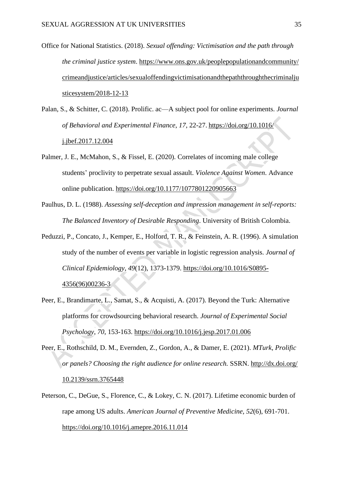- Office for National Statistics. (2018). *Sexual offending: Victimisation and the path through the criminal justice system*. [https://www.ons.gov.uk/peoplepopulationandcommunity/](https://www.ons.gov.uk/peoplepopulationandcommunity/crimeandjustice/articles/sexualoffendingvictimisationandthepaththroughthecriminaljusticesystem/2018-12-13) [crimeandjustice/articles/sexualoffendingvictimisationandthepaththroughthecriminalju](https://www.ons.gov.uk/peoplepopulationandcommunity/crimeandjustice/articles/sexualoffendingvictimisationandthepaththroughthecriminaljusticesystem/2018-12-13) [sticesystem/2018-12-13](https://www.ons.gov.uk/peoplepopulationandcommunity/crimeandjustice/articles/sexualoffendingvictimisationandthepaththroughthecriminaljusticesystem/2018-12-13)
- Palan, S., & Schitter, C. (2018). Prolific. ac—A subject pool for online experiments. *Journal of Behavioral and Experimental Finance*, *17*, 22-27. [https://doi.org/10.1016/](https://doi.org/10.1016/j.jbef.2017.12.004) [j.jbef.2017.12.004](https://doi.org/10.1016/j.jbef.2017.12.004)
- Palmer, J. E., McMahon, S., & Fissel, E. (2020). Correlates of incoming male college students' proclivity to perpetrate sexual assault. *Violence Against Women*. Advance online publication.<https://doi.org/10.1177/1077801220905663>
- Paulhus, D. L. (1988). *Assessing self-deception and impression management in self-reports: The Balanced Inventory of Desirable Responding*. University of British Colombia.
- Peduzzi, P., Concato, J., Kemper, E., Holford, T. R., & Feinstein, A. R. (1996). A simulation study of the number of events per variable in logistic regression analysis. *Journal of Clinical Epidemiology*, *49*(12), 1373-1379. [https://doi.org/10.1016/S0895-](https://doi.org/10.1016/S0895-4356(96)00236-3) [4356\(96\)00236-3](https://doi.org/10.1016/S0895-4356(96)00236-3)
- Peer, E., Brandimarte, L., Samat, S., & Acquisti, A. (2017). Beyond the Turk: Alternative platforms for crowdsourcing behavioral research. *Journal of Experimental Social Psychology*, *70*, 153-163.<https://doi.org/10.1016/j.jesp.2017.01.006>
- Peer, E., Rothschild, D. M., Evernden, Z., Gordon, A., & Damer, E. (2021). *MTurk, Prolific or panels? Choosing the right audience for online research.* SSRN. [http://dx.doi.org/](http://dx.doi.org/10.2139/ssrn.3765448) [10.2139/ssrn.3765448](http://dx.doi.org/10.2139/ssrn.3765448)
- Peterson, C., DeGue, S., Florence, C., & Lokey, C. N. (2017). Lifetime economic burden of rape among US adults. *American Journal of Preventive Medicine*, *52*(6), 691-701. <https://doi.org/10.1016/j.amepre.2016.11.014>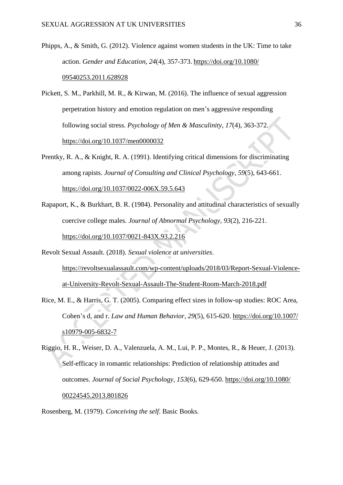- Phipps, A., & Smith, G. (2012). Violence against women students in the UK: Time to take action. *Gender and Education*, *24*(4), 357-373. [https://doi.org/10.1080/](https://doi.org/10.1080/09540253.2011.628928) [09540253.2011.628928](https://doi.org/10.1080/09540253.2011.628928)
- Pickett, S. M., Parkhill, M. R., & Kirwan, M. (2016). The influence of sexual aggression perpetration history and emotion regulation on men's aggressive responding following social stress. *Psychology of Men & Masculinity*, *17*(4), 363-372. <https://doi.org/10.1037/men0000032>
- Prentky, R. A., & Knight, R. A. (1991). Identifying critical dimensions for discriminating among rapists. *Journal of Consulting and Clinical Psychology*, *59*(5), 643-661. [https://doi.org/10.1037/0022-006X.59.5.643](https://psycnet.apa.org/doi/10.1037/0022-006X.59.5.643)
- Rapaport, K., & Burkhart, B. R. (1984). Personality and attitudinal characteristics of sexually coercive college males. *Journal of Abnormal Psychology*, *93*(2), 216-221. <https://doi.org/10.1037/0021-843X.93.2.216>
- Revolt Sexual Assault. (2018). *Sexual violence at universities*. [https://revoltsexualassault.com/wp-content/uploads/2018/03/Report-Sexual-Violence](https://revoltsexualassault.com/wp-content/uploads/2018/03/Report-Sexual-Violence-at-University-Revolt-Sexual-Assault-The-Student-Room-March-2018.pdf)[at-University-Revolt-Sexual-Assault-The-Student-Room-March-2018.pdf](https://revoltsexualassault.com/wp-content/uploads/2018/03/Report-Sexual-Violence-at-University-Revolt-Sexual-Assault-The-Student-Room-March-2018.pdf)
- Rice, M. E., & Harris, G. T. (2005). Comparing effect sizes in follow-up studies: ROC Area, Cohen's d, and r. *Law and Human Behavior*, *29*(5), 615-620. [https://doi.org/10.1007/](https://doi.org/10.1007/s10979-005-6832-7) [s10979-005-6832-7](https://doi.org/10.1007/s10979-005-6832-7)
- Riggio, H. R., Weiser, D. A., Valenzuela, A. M., Lui, P. P., Montes, R., & Heuer, J. (2013). Self-efficacy in romantic relationships: Prediction of relationship attitudes and outcomes. *Journal of Social Psychology*, *153*(6), 629-650. [https://doi.org/10.1080/](https://doi.org/10.1080/00224545.2013.801826) [00224545.2013.801826](https://doi.org/10.1080/00224545.2013.801826)
- Rosenberg, M. (1979). *Conceiving the self*. Basic Books.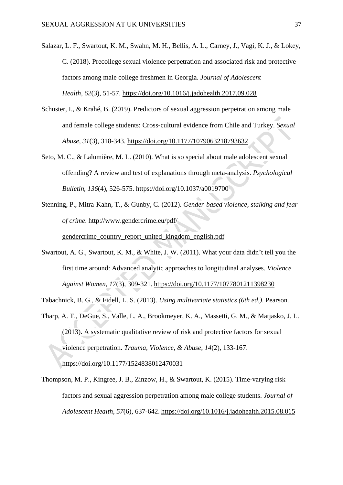Salazar, L. F., Swartout, K. M., Swahn, M. H., Bellis, A. L., Carney, J., Vagi, K. J., & Lokey, C. (2018). Precollege sexual violence perpetration and associated risk and protective factors among male college freshmen in Georgia. *Journal of Adolescent Health*, *62*(3), 51-57.<https://doi.org/10.1016/j.jadohealth.2017.09.028>

- Schuster, I., & Krahé, B. (2019). Predictors of sexual aggression perpetration among male and female college students: Cross-cultural evidence from Chile and Turkey. *Sexual Abuse*, *31*(3), 318-343. [https://doi.org/10.1177/1079063218793632](https://doi.org/10.1177%2F1079063218793632)
- Seto, M. C., & Lalumière, M. L. (2010). What is so special about male adolescent sexual offending? A review and test of explanations through meta-analysis. *Psychological Bulletin*, *136*(4), 526-575.<https://doi.org/10.1037/a0019700>
- Stenning, P., Mitra-Kahn, T., & Gunby, C. (2012). *Gender-based violence, stalking and fear of crime*. [http://www.gendercrime.eu/pdf/](http://www.gendercrime.eu/pdf/gendercrime_country_report_united_kingdom_english.pdf) [gendercrime\\_country\\_report\\_united\\_kingdom\\_english.pdf](http://www.gendercrime.eu/pdf/gendercrime_country_report_united_kingdom_english.pdf)
- Swartout, A. G., Swartout, K. M., & White, J. W. (2011). What your data didn't tell you the first time around: Advanced analytic approaches to longitudinal analyses. *Violence Against Women*, *17*(3), 309-321. [https://doi.org/10.1177/1077801211398230](https://doi.org/10.1177%2F1077801211398230)
- Tabachnick, B. G., & Fidell, L. S. (2013). *Using multivariate statistics (6th ed.)*. Pearson.
- Tharp, A. T., DeGue, S., Valle, L. A., Brookmeyer, K. A., Massetti, G. M., & Matjasko, J. L. (2013). A systematic qualitative review of risk and protective factors for sexual violence perpetration. *Trauma, Violence, & Abuse*, *14*(2), 133-167. <https://doi.org/10.1177/1524838012470031>
- Thompson, M. P., Kingree, J. B., Zinzow, H., & Swartout, K. (2015). Time-varying risk factors and sexual aggression perpetration among male college students. *Journal of Adolescent Health*, *57*(6), 637-642. <https://doi.org/10.1016/j.jadohealth.2015.08.015>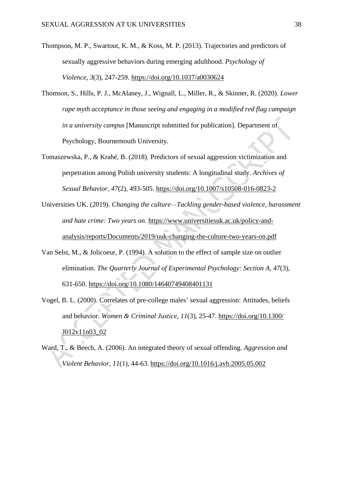- Thompson, M. P., Swartout, K. M., & Koss, M. P. (2013). Trajectories and predictors of sexually aggressive behaviors during emerging adulthood. *Psychology of Violence*, *3*(3), 247-259.<https://doi.org/10.1037/a0030624>
- Thomson, S., Hills, P. J., McAlaney, J., Wignall, L., Miller, R., & Skinner, R. (2020). *Lower rape myth acceptance in those seeing and engaging in a modified red flag campaign in a university campus* [Manuscript submitted for publication]. Department of Psychology, Bournemouth University.
- Tomaszewska, P., & Krahé, B. (2018). Predictors of sexual aggression victimization and perpetration among Polish university students: A longitudinal study. *Archives of Sexual Behavior*, *47*(2), 493-505.<https://doi.org/10.1007/s10508-016-0823-2>
- Universities UK. (2019). *Changing the culture—Tackling gender-based violence, harassment and hate crime: Two years on*. [https://www.universitiesuk.ac.uk/policy-and](https://www.universitiesuk.ac.uk/policy-and-analysis/reports/Documents/2019/uuk-changing-the-culture-two-years-on.pdf)[analysis/reports/Documents/2019/uuk-changing-the-culture-two-years-on.pdf](https://www.universitiesuk.ac.uk/policy-and-analysis/reports/Documents/2019/uuk-changing-the-culture-two-years-on.pdf)
- Van Selst, M., & Jolicoeur, P. (1994). A solution to the effect of sample size on outlier elimination. *The Quarterly Journal of Experimental Psychology: Section A*, *47*(3), 631-650.<https://doi.org/10.1080/14640749408401131>
- Vogel, B. L. (2000). Correlates of pre-college males' sexual aggression: Attitudes, beliefs and behavior. *Women & Criminal Justice*, *11*(3), 25-47. [https://doi.org/10.1300/](https://doi.org/10.1300/J012v11n03_02) [J012v11n03\\_02](https://doi.org/10.1300/J012v11n03_02)
- Ward, T., & Beech, A. (2006). An integrated theory of sexual offending. *Aggression and Violent Behavior*, *11*(1), 44-63. <https://doi.org/10.1016/j.avb.2005.05.002>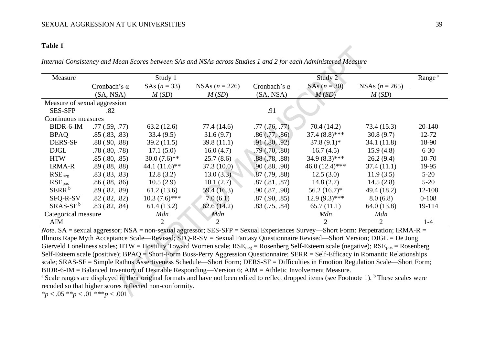#### **Table 1**

*Internal Consistency and Mean Scores between SAs and NSAs across Studies 1 and 2 for each Administered Measure*

| Measure                      |                     | Study 1                            |             |                                       | Study 2          |                  | Range <sup>a</sup> |
|------------------------------|---------------------|------------------------------------|-------------|---------------------------------------|------------------|------------------|--------------------|
|                              | Cronbach's $\alpha$ | SAs $(n = 33)$<br>NSAs $(n = 226)$ |             | $SAs (n = 30)$<br>Cronbach's $\alpha$ |                  | NSAs $(n = 265)$ |                    |
|                              | (SA, NSA)           | M(SD)                              | M(SD)       | (SA, NSA)                             | M(SD)            | M(SD)            |                    |
| Measure of sexual aggression |                     |                                    |             |                                       |                  |                  |                    |
| <b>SES-SFP</b>               | .82                 |                                    |             | .91                                   |                  |                  |                    |
| Continuous measures          |                     |                                    |             |                                       |                  |                  |                    |
| BIDR-6-IM                    | .77(.59,.77)        | 63.2(12.6)                         | 77.4 (14.6) | .77(.76,.77)                          | 70.4(14.2)       | 73.4 (15.3)      | 20-140             |
| <b>BPAQ</b>                  | .85(.83, .83)       | 33.4(9.5)                          | 31.6(9.7)   | .86(.77, .86)                         | $37.4(8.8)$ ***  | 30.8(9.7)        | 12-72              |
| <b>DERS-SF</b>               | $.88$ $(.90, .88)$  | 39.2(11.5)                         | 39.8(11.1)  | .91(.80, .92)                         | $37.8(9.1)^*$    | 34.1 (11.8)      | 18-90              |
| <b>DJGL</b>                  | .78(.80, .78)       | 17.1(5.0)                          | 16.0(4.7)   | $.79$ $(.70, .80)$                    | 16.7(4.5)        | 15.9(4.8)        | $6 - 30$           |
| <b>HTW</b>                   | .85(.80, .85)       | $30.0(7.6)$ **                     | 25.7(8.6)   | .88(.78, .88)                         | $34.9(8.3)$ ***  | 26.2(9.4)        | $10-70$            |
| <b>IRMA-R</b>                | .89(.88, .88)       | 44.1 $(11.6)$ <sup>**</sup>        | 37.3(10.0)  | .90(.88, .90)                         | $46.0(12.4)$ *** | 37.4 (11.1)      | 19-95              |
| RSE <sub>neg</sub>           | .83(.83, .83)       | 12.8(3.2)                          | 13.0(3.3)   | .87(.79,.88)                          | 12.5(3.0)        | 11.9(3.5)        | $5 - 20$           |
| RSE <sub>pos</sub>           | .86(.88, .86)       | 10.5(2.9)                          | 10.1(2.7)   | $.87 \,(.81, .87)$                    | 14.8(2.7)        | 14.5(2.8)        | $5-20$             |
| SERR <sup>b</sup>            | .89(.82, .89)       | 61.2(13.6)                         | 59.4 (16.3) | .90(.87, .90)                         | $56.2(16.7)^*$   | 49.4 (18.2)      | 12-108             |
| SFQ-R-SV                     | $.82$ $(.82, .82)$  | $10.3(7.6)$ ***                    | 7.0(6.1)    | $.87$ $(.90, .85)$                    | $12.9(9.3)$ ***  | 8.0(6.8)         | $0 - 108$          |
| $SRAS-SFb$                   | $.83$ $(.82, .84)$  | 61.4(13.2)                         | 62.6(14.2)  | $.83$ $(.75, .84)$                    | 65.7(11.1)       | 64.0(13.8)       | 19-114             |
| Categorical measure          |                     | Mdn                                | Mdn         |                                       | Mdn              | Mdn              |                    |
| AIM                          |                     | $\overline{2}$                     |             |                                       | $\overline{2}$   | $\overline{2}$   | $1 - 4$            |

*Note*. SA = sexual aggressor; NSA = non-sexual aggressor; SES-SFP = Sexual Experiences Survey—Short Form: Perpetration; IRMA-R = Illinois Rape Myth Acceptance Scale—Revised; SFQ-R-SV = Sexual Fantasy Questionnaire Revised—Short Version; DJGL = De Jong Gierveld Loneliness scales; HTW = Hostility Toward Women scale;  $RSE_{\text{neg}}$  = Rosenberg Self-Esteem scale (negative);  $RSE_{\text{pos}}$  = Rosenberg Self-Esteem scale (positive); BPAQ = Short-Form Buss-Perry Aggression Questionnaire; SERR = Self-Efficacy in Romantic Relationships scale; SRAS-SF = Simple Rathus Assertiveness Schedule—Short Form; DERS-SF = Difficulties in Emotion Regulation Scale—Short Form; BIDR-6-IM = Balanced Inventory of Desirable Responding—Version 6; AIM = Athletic Involvement Measure.

<sup>a</sup> Scale ranges are displayed in their original formats and have not been edited to reflect dropped items (see Footnote 1). <sup>b</sup> These scales were recoded so that higher scores reflected non-conformity.

 $*_{p}$  < .05  $*_{p}$  < .01  $*_{p}$  < .001